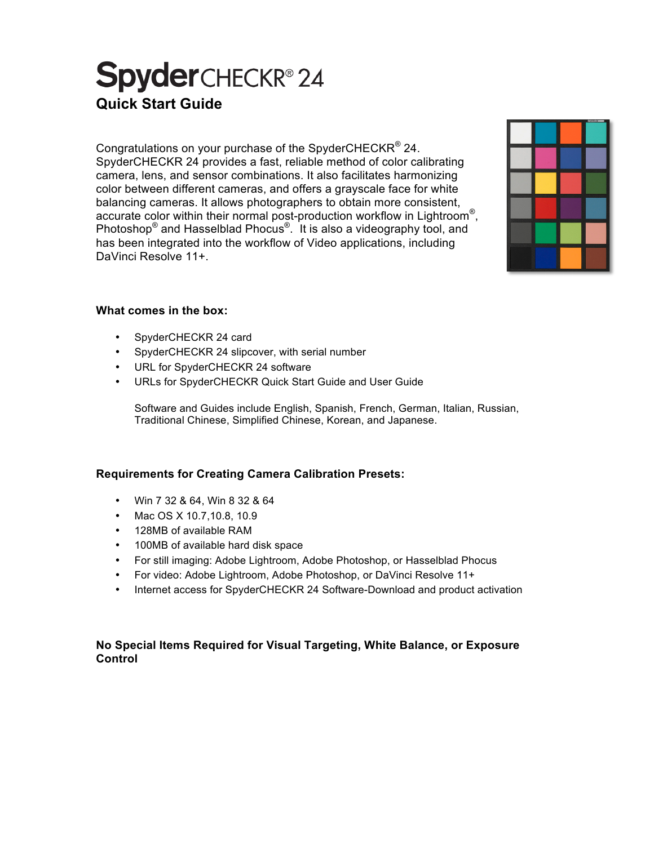# **Spyder**CHECKR®24 **Quick Start Guide**

Congratulations on your purchase of the SpyderCHECKR<sup>®</sup> 24. SpyderCHECKR 24 provides a fast, reliable method of color calibrating camera, lens, and sensor combinations. It also facilitates harmonizing color between different cameras, and offers a grayscale face for white balancing cameras. It allows photographers to obtain more consistent, accurate color within their normal post-production workflow in Lightroom<sup>®</sup>, Photoshop® and Hasselblad Phocus®. It is also a videography tool, and has been integrated into the workflow of Video applications, including DaVinci Resolve 11+.



### **What comes in the box:**

- SpyderCHECKR 24 card
- SpyderCHECKR 24 slipcover, with serial number
- URL for SpyderCHECKR 24 software
- URLs for SpyderCHECKR Quick Start Guide and User Guide

Software and Guides include English, Spanish, French, German, Italian, Russian, Traditional Chinese, Simplified Chinese, Korean, and Japanese.

## **Requirements for Creating Camera Calibration Presets:**

- Win 7 32 & 64, Win 8 32 & 64
- Mac OS X 10.7,10.8, 10.9
- 128MB of available RAM
- 100MB of available hard disk space
- For still imaging: Adobe Lightroom, Adobe Photoshop, or Hasselblad Phocus
- For video: Adobe Lightroom, Adobe Photoshop, or DaVinci Resolve 11+
- Internet access for SpyderCHECKR 24 Software-Download and product activation

### **No Special Items Required for Visual Targeting, White Balance, or Exposure Control**